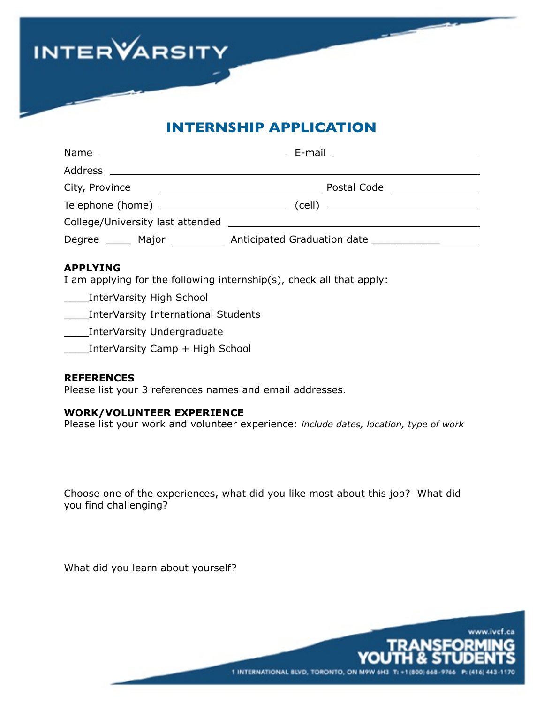

## **INTERNSHIP APPLICATION**

|                | E-mail ____________________________                                                                |
|----------------|----------------------------------------------------------------------------------------------------|
|                |                                                                                                    |
| City, Province | Postal Code _________________<br><u> 1989 - Johann Barn, fransk politik amerikansk politiker (</u> |
|                |                                                                                                    |
|                |                                                                                                    |
|                | Degree _______ Major ____________ Anticipated Graduation date __________________                   |

## **APPLYING**

I am applying for the following internship(s), check all that apply:

- \_\_\_\_InterVarsity High School
- \_\_\_\_InterVarsity International Students
- \_\_\_\_InterVarsity Undergraduate
- \_\_\_\_InterVarsity Camp + High School

## **REFERENCES**

Please list your 3 references names and email addresses.

## **WORK/VOLUNTEER EXPERIENCE**

Please list your work and volunteer experience: *include dates, location, type of work*

Choose one of the experiences, what did you like most about this job? What did you find challenging?

1 INTERNATIONAL BLVD, TORONTO, ON M9W 6H3

www.ivcf.ca

350P

What did you learn about yourself?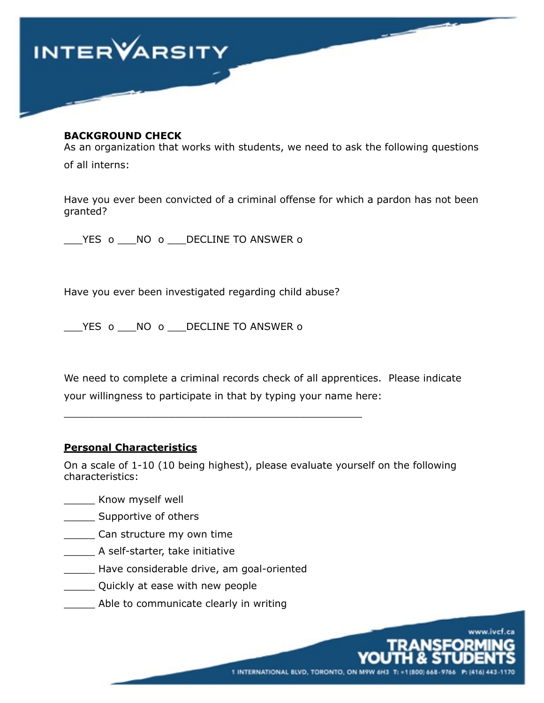

## **BACKGROUND CHECK**

As an organization that works with students, we need to ask the following questions of all interns:

Have you ever been convicted of a criminal offense for which a pardon has not been granted?

YES o  $\blacksquare$  NO o  $\blacksquare$  DECLINE TO ANSWER o

Have you ever been investigated regarding child abuse?

\_\_\_\_\_\_\_\_\_\_\_\_\_\_\_\_\_\_\_\_\_\_\_\_\_\_\_\_\_\_\_\_\_\_\_\_\_\_\_\_\_\_\_\_\_\_\_\_

\_\_\_YES o \_\_\_NO o \_\_\_DECLINE TO ANSWER o

We need to complete a criminal records check of all apprentices. Please indicate your willingness to participate in that by typing your name here:

## **Personal Characteristics**

On a scale of 1-10 (10 being highest), please evaluate yourself on the following characteristics:

1 INTERNATIONAL BLVD, TORONTO, ON M9W 6H3

www.ivcf.ca

- **Warner Commension Election**
- \_\_\_\_\_ Supportive of others
- **Example 2** Can structure my own time
- \_\_\_\_\_ A self-starter, take initiative
- \_\_\_\_\_ Have considerable drive, am goal-oriented
- **Quickly at ease with new people**
- **Able to communicate clearly in writing**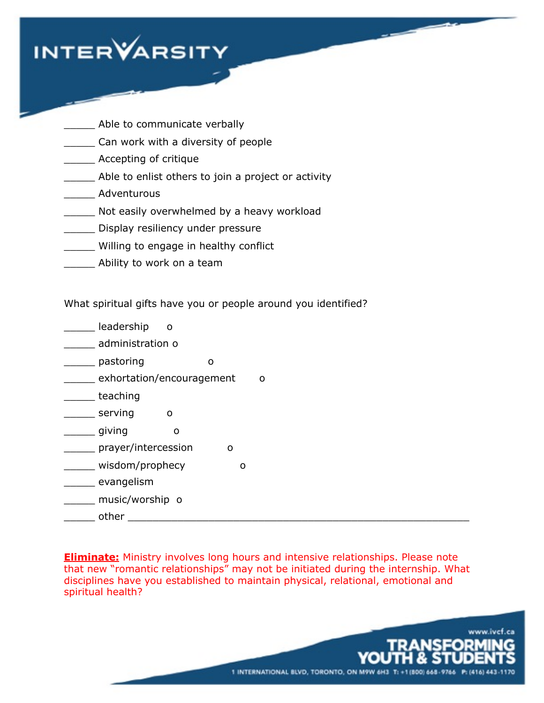# **INTERVARSITY**

- **\_\_\_\_\_\_** Able to communicate verbally
- **Can work with a diversity of people**
- **Example 21 Accepting of critique**
- Able to enlist others to join a project or activity
- \_\_\_\_\_ Adventurous
- \_\_\_\_\_ Not easily overwhelmed by a heavy workload
- \_\_\_\_\_ Display resiliency under pressure
- \_\_\_\_\_ Willing to engage in healthy conflict
- **\_\_\_\_\_\_** Ability to work on a team

What spiritual gifts have you or people around you identified?

- \_\_\_\_\_ leadership o \_\_\_\_\_ administration o \_\_\_\_\_ pastoring o \_\_\_\_\_ exhortation/encouragement o \_\_\_\_\_ teaching \_\_\_\_\_ serving o \_\_\_\_\_ giving o \_\_\_\_\_ prayer/intercession o wisdom/prophecy o \_\_\_\_\_ evangelism \_\_\_\_\_ music/worship o
- $\hskip1cm$  other  $\hskip1cm$

**Eliminate:** Ministry involves long hours and intensive relationships. Please note that new "romantic relationships" may not be initiated during the internship. What disciplines have you established to maintain physical, relational, emotional and spiritual health?

1 INTERNATIONAL BLVD, TORONTO, ON M9W 6H3 T: +1 (800) 668-9766

www.ivcf.ca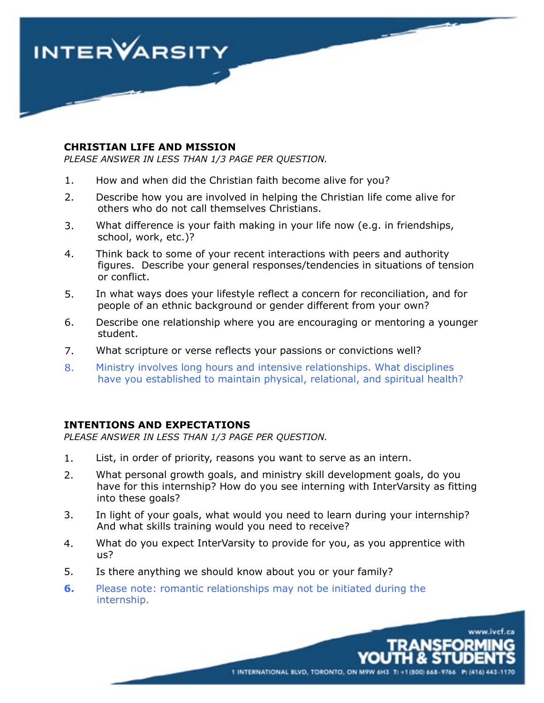

## **CHRISTIAN LIFE AND MISSION**

*PLEASE ANSWER IN LESS THAN 1/3 PAGE PER QUESTION.* 

- 1. How and when did the Christian faith become alive for you?
- 2. Describe how you are involved in helping the Christian life come alive for others who do not call themselves Christians.
- 3. What difference is your faith making in your life now (e.g. in friendships, school, work, etc.)?
- 4. Think back to some of your recent interactions with peers and authority figures. Describe your general responses/tendencies in situations of tension or conflict.
- 5. In what ways does your lifestyle reflect a concern for reconciliation, and for people of an ethnic background or gender different from your own?
- 6. Describe one relationship where you are encouraging or mentoring a younger student.
- 7. What scripture or verse reflects your passions or convictions well?
- 8. Ministry involves long hours and intensive relationships. What disciplines have you established to maintain physical, relational, and spiritual health?

## **INTENTIONS AND EXPECTATIONS**

*PLEASE ANSWER IN LESS THAN 1/3 PAGE PER QUESTION.* 

- 1. List, in order of priority, reasons you want to serve as an intern.
- 2. What personal growth goals, and ministry skill development goals, do you have for this internship? How do you see interning with InterVarsity as fitting into these goals?
- 3. In light of your goals, what would you need to learn during your internship? And what skills training would you need to receive?
- 4. What do you expect InterVarsity to provide for you, as you apprentice with us?

1 INTERNATIONAL BLVD, TORONTO, ON M9W 6H3 T:

www.ivcf.ca

- 5. Is there anything we should know about you or your family?
- **6.** Please note: romantic relationships may not be initiated during the internship.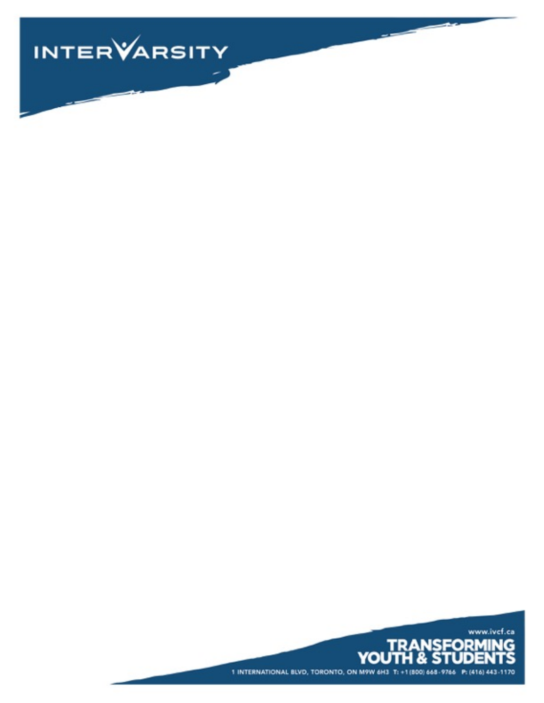

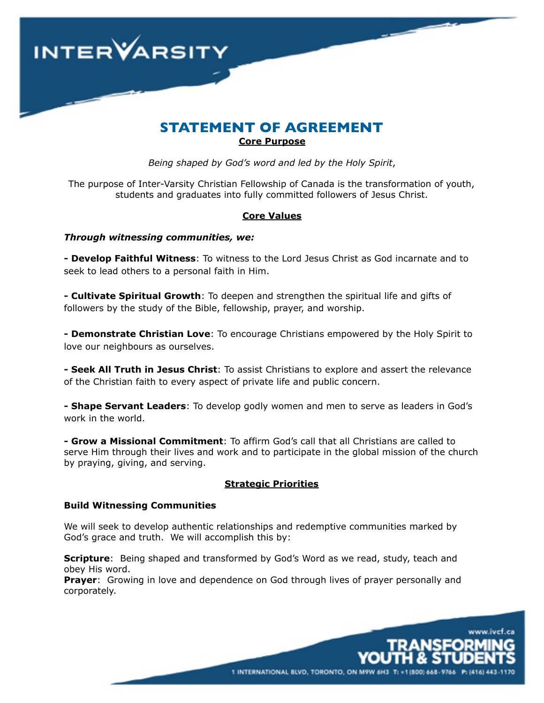

## **STATEMENT OF AGREEMENT Core Purpose**

*Being shaped by God's word and led by the Holy Spirit*,

The purpose of Inter-Varsity Christian Fellowship of Canada is the transformation of youth, students and graduates into fully committed followers of Jesus Christ.

## **Core Values**

#### *Through witnessing communities, we:*

**- Develop Faithful Witness**: To witness to the Lord Jesus Christ as God incarnate and to seek to lead others to a personal faith in Him.

**- Cultivate Spiritual Growth**: To deepen and strengthen the spiritual life and gifts of followers by the study of the Bible, fellowship, prayer, and worship.

**- Demonstrate Christian Love**: To encourage Christians empowered by the Holy Spirit to love our neighbours as ourselves.

**- Seek All Truth in Jesus Christ**: To assist Christians to explore and assert the relevance of the Christian faith to every aspect of private life and public concern.

**- Shape Servant Leaders**: To develop godly women and men to serve as leaders in God's work in the world.

**- Grow a Missional Commitment**: To affirm God's call that all Christians are called to serve Him through their lives and work and to participate in the global mission of the church by praying, giving, and serving.

## **Strategic Priorities**

#### **Build Witnessing Communities**

We will seek to develop authentic relationships and redemptive communities marked by God's grace and truth. We will accomplish this by:

**Scripture**: Being shaped and transformed by God's Word as we read, study, teach and obey His word.

**Prayer**: Growing in love and dependence on God through lives of prayer personally and corporately.

1 INTERNATIONAL BLVD, TORONTO, ON M9W 6H3 T: +

www.ivcf.ca

SEORM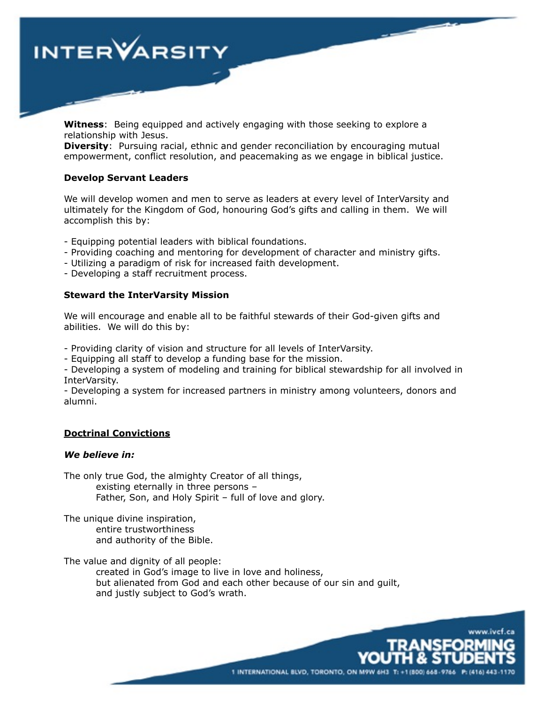

**Witness**: Being equipped and actively engaging with those seeking to explore a relationship with Jesus.

**Diversity**: Pursuing racial, ethnic and gender reconciliation by encouraging mutual empowerment, conflict resolution, and peacemaking as we engage in biblical justice.

#### **Develop Servant Leaders**

We will develop women and men to serve as leaders at every level of InterVarsity and ultimately for the Kingdom of God, honouring God's gifts and calling in them. We will accomplish this by:

- Equipping potential leaders with biblical foundations.
- Providing coaching and mentoring for development of character and ministry gifts.
- Utilizing a paradigm of risk for increased faith development.
- Developing a staff recruitment process.

## **Steward the InterVarsity Mission**

We will encourage and enable all to be faithful stewards of their God-given gifts and abilities. We will do this by:

- Providing clarity of vision and structure for all levels of InterVarsity.

- Equipping all staff to develop a funding base for the mission.

- Developing a system of modeling and training for biblical stewardship for all involved in InterVarsity.

- Developing a system for increased partners in ministry among volunteers, donors and alumni.

## **Doctrinal Convictions**

## *We believe in:*

The only true God, the almighty Creator of all things, existing eternally in three persons – Father, Son, and Holy Spirit – full of love and glory.

The unique divine inspiration, entire trustworthiness and authority of the Bible.

The value and dignity of all people:

 created in God's image to live in love and holiness, but alienated from God and each other because of our sin and guilt, and justly subject to God's wrath.

1 INTERNATIONAL BLVD, TORONTO, ON M9W 6H3 T: +1 (800) 668-9766

www.ivcf.ca

**ISFORM**